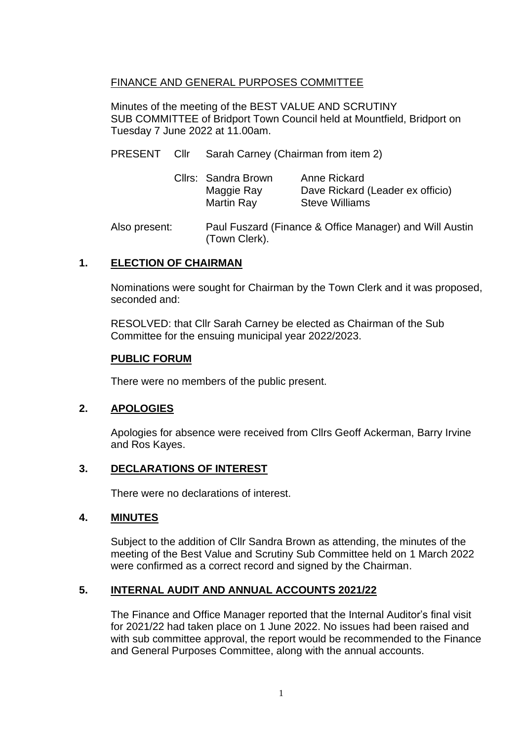## FINANCE AND GENERAL PURPOSES COMMITTEE

Minutes of the meeting of the BEST VALUE AND SCRUTINY SUB COMMITTEE of Bridport Town Council held at Mountfield, Bridport on Tuesday 7 June 2022 at 11.00am.

PRESENT Cllr Sarah Carney (Chairman from item 2)

|  | Cllrs: Sandra Brown | Anne Rickard                     |
|--|---------------------|----------------------------------|
|  | Maggie Ray          | Dave Rickard (Leader ex officio) |
|  | Martin Ray          | <b>Steve Williams</b>            |

Also present: Paul Fuszard (Finance & Office Manager) and Will Austin (Town Clerk).

### **1. ELECTION OF CHAIRMAN**

Nominations were sought for Chairman by the Town Clerk and it was proposed, seconded and:

RESOLVED: that Cllr Sarah Carney be elected as Chairman of the Sub Committee for the ensuing municipal year 2022/2023.

#### **PUBLIC FORUM**

There were no members of the public present.

### **2. APOLOGIES**

Apologies for absence were received from Cllrs Geoff Ackerman, Barry Irvine and Ros Kayes.

## **3. DECLARATIONS OF INTEREST**

There were no declarations of interest.

### **4. MINUTES**

Subject to the addition of Cllr Sandra Brown as attending, the minutes of the meeting of the Best Value and Scrutiny Sub Committee held on 1 March 2022 were confirmed as a correct record and signed by the Chairman.

### **5. INTERNAL AUDIT AND ANNUAL ACCOUNTS 2021/22**

The Finance and Office Manager reported that the Internal Auditor's final visit for 2021/22 had taken place on 1 June 2022. No issues had been raised and with sub committee approval, the report would be recommended to the Finance and General Purposes Committee, along with the annual accounts.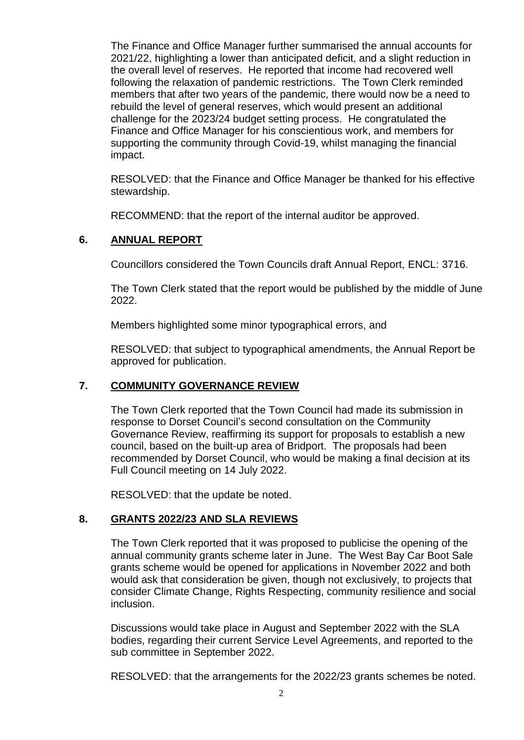The Finance and Office Manager further summarised the annual accounts for 2021/22, highlighting a lower than anticipated deficit, and a slight reduction in the overall level of reserves. He reported that income had recovered well following the relaxation of pandemic restrictions. The Town Clerk reminded members that after two years of the pandemic, there would now be a need to rebuild the level of general reserves, which would present an additional challenge for the 2023/24 budget setting process. He congratulated the Finance and Office Manager for his conscientious work, and members for supporting the community through Covid-19, whilst managing the financial impact.

RESOLVED: that the Finance and Office Manager be thanked for his effective stewardship.

RECOMMEND: that the report of the internal auditor be approved.

## **6. ANNUAL REPORT**

Councillors considered the Town Councils draft Annual Report, ENCL: 3716.

The Town Clerk stated that the report would be published by the middle of June 2022.

Members highlighted some minor typographical errors, and

RESOLVED: that subject to typographical amendments, the Annual Report be approved for publication.

### **7. COMMUNITY GOVERNANCE REVIEW**

The Town Clerk reported that the Town Council had made its submission in response to Dorset Council's second consultation on the Community Governance Review, reaffirming its support for proposals to establish a new council, based on the built-up area of Bridport. The proposals had been recommended by Dorset Council, who would be making a final decision at its Full Council meeting on 14 July 2022.

RESOLVED: that the update be noted.

# **8. GRANTS 2022/23 AND SLA REVIEWS**

The Town Clerk reported that it was proposed to publicise the opening of the annual community grants scheme later in June. The West Bay Car Boot Sale grants scheme would be opened for applications in November 2022 and both would ask that consideration be given, though not exclusively, to projects that consider Climate Change, Rights Respecting, community resilience and social inclusion.

Discussions would take place in August and September 2022 with the SLA bodies, regarding their current Service Level Agreements, and reported to the sub committee in September 2022.

RESOLVED: that the arrangements for the 2022/23 grants schemes be noted.